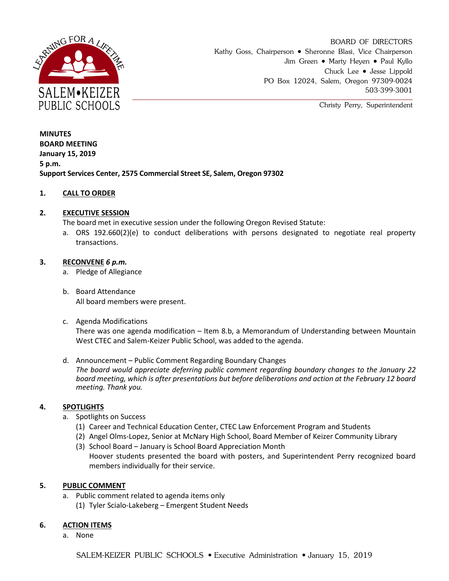

BOARD OF DIRECTORS Kathy Goss, Chairperson • Sheronne Blasi, Vice Chairperson Jim Green • Marty Heyen • Paul Kyllo Chuck Lee Jesse Lippold PO Box 12024, Salem, Oregon 97309-0024 503-399-3001

Christy Perry, Superintendent

**MINUTES BOARD MEETING January 15, 2019 5 p.m. Support Services Center, 2575 Commercial Street SE, Salem, Oregon 97302**

# **1. CALL TO ORDER**

### **2. EXECUTIVE SESSION**

The board met in executive session under the following Oregon Revised Statute:

a. ORS 192.660(2)(e) to conduct deliberations with persons designated to negotiate real property transactions.

#### **3. RECONVENE** *6 p.m.*

- a. Pledge of Allegiance
- b. Board Attendance All board members were present.
- c. Agenda Modifications There was one agenda modification – Item 8.b, a Memorandum of Understanding between Mountain West CTEC and Salem-Keizer Public School, was added to the agenda.
- d. Announcement Public Comment Regarding Boundary Changes *The board would appreciate deferring public comment regarding boundary changes to the January 22 board meeting, which is after presentations but before deliberations and action at the February 12 board meeting. Thank you.*

# **4. SPOTLIGHTS**

- a. Spotlights on Success
	- (1) Career and Technical Education Center, CTEC Law Enforcement Program and Students
	- (2) Angel Olms-Lopez, Senior at McNary High School, Board Member of Keizer Community Library
	- (3) School Board January is School Board Appreciation Month Hoover students presented the board with posters, and Superintendent Perry recognized board members individually for their service.

# **5. PUBLIC COMMENT**

- a. Public comment related to agenda items only
	- (1) Tyler Scialo-Lakeberg Emergent Student Needs

# **6. ACTION ITEMS**

a. None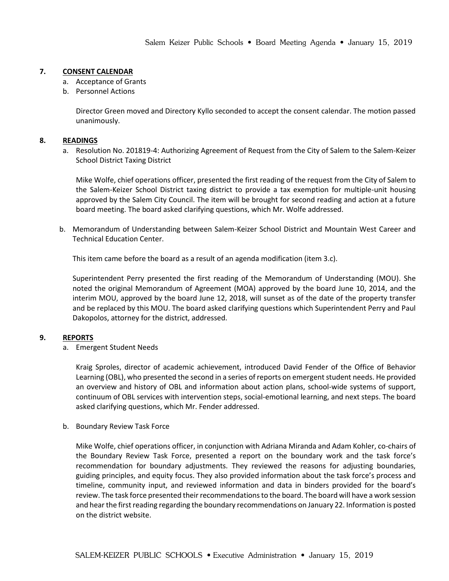## **7. CONSENT CALENDAR**

- a. Acceptance of Grants
- b. Personnel Actions

Director Green moved and Directory Kyllo seconded to accept the consent calendar. The motion passed unanimously.

#### **8. READINGS**

a. Resolution No. 201819-4: Authorizing Agreement of Request from the City of Salem to the Salem-Keizer School District Taxing District

Mike Wolfe, chief operations officer, presented the first reading of the request from the City of Salem to the Salem-Keizer School District taxing district to provide a tax exemption for multiple-unit housing approved by the Salem City Council. The item will be brought for second reading and action at a future board meeting. The board asked clarifying questions, which Mr. Wolfe addressed.

b. Memorandum of Understanding between Salem-Keizer School District and Mountain West Career and Technical Education Center.

This item came before the board as a result of an agenda modification (item 3.c).

Superintendent Perry presented the first reading of the Memorandum of Understanding (MOU). She noted the original Memorandum of Agreement (MOA) approved by the board June 10, 2014, and the interim MOU, approved by the board June 12, 2018, will sunset as of the date of the property transfer and be replaced by this MOU. The board asked clarifying questions which Superintendent Perry and Paul Dakopolos, attorney for the district, addressed.

# **9. REPORTS**

a. Emergent Student Needs

Kraig Sproles, director of academic achievement, introduced David Fender of the Office of Behavior Learning (OBL), who presented the second in a series of reports on emergent student needs. He provided an overview and history of OBL and information about action plans, school-wide systems of support, continuum of OBL services with intervention steps, social-emotional learning, and next steps. The board asked clarifying questions, which Mr. Fender addressed.

b. Boundary Review Task Force

Mike Wolfe, chief operations officer, in conjunction with Adriana Miranda and Adam Kohler, co-chairs of the Boundary Review Task Force, presented a report on the boundary work and the task force's recommendation for boundary adjustments. They reviewed the reasons for adjusting boundaries, guiding principles, and equity focus. They also provided information about the task force's process and timeline, community input, and reviewed information and data in binders provided for the board's review. The task force presented their recommendations to the board. The board will have a work session and hear the first reading regarding the boundary recommendations on January 22. Information is posted on the district website.